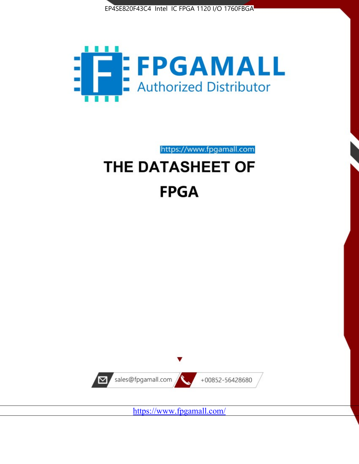



https://www.fpgamall.com

# THE DATASHEET OF **FPGA**



<https://www.fpgamall.com/>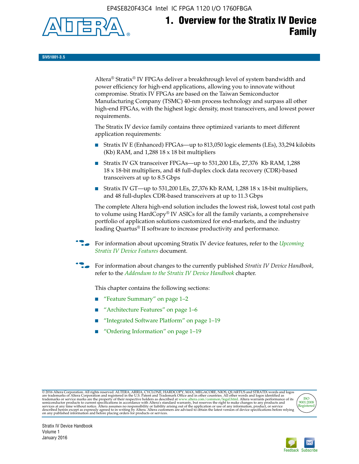EP4SE820F43C4 Intel IC FPGA 1120 I/O 1760FBGA



# **1. Overview for the Stratix IV Device Family**

**SIV51001-3.5**

Altera® Stratix® IV FPGAs deliver a breakthrough level of system bandwidth and power efficiency for high-end applications, allowing you to innovate without compromise. Stratix IV FPGAs are based on the Taiwan Semiconductor Manufacturing Company (TSMC) 40-nm process technology and surpass all other high-end FPGAs, with the highest logic density, most transceivers, and lowest power requirements.

The Stratix IV device family contains three optimized variants to meet different application requirements:

- Stratix IV E (Enhanced) FPGAs—up to 813,050 logic elements (LEs), 33,294 kilobits (Kb) RAM, and 1,288 18 x 18 bit multipliers
- Stratix IV GX transceiver FPGAs—up to 531,200 LEs, 27,376 Kb RAM, 1,288 18 x 18-bit multipliers, and 48 full-duplex clock data recovery (CDR)-based transceivers at up to 8.5 Gbps
- Stratix IV GT—up to 531,200 LEs, 27,376 Kb RAM, 1,288 18 x 18-bit multipliers, and 48 full-duplex CDR-based transceivers at up to 11.3 Gbps

The complete Altera high-end solution includes the lowest risk, lowest total cost path to volume using HardCopy® IV ASICs for all the family variants, a comprehensive portfolio of application solutions customized for end-markets, and the industry leading Quartus® II software to increase productivity and performance.

f For information about upcoming Stratix IV device features, refer to the *[Upcoming](http://www.altera.com/literature/hb/stratix-iv/uf01001.pdf?GSA_pos=2&WT.oss_r=1&WT.oss=upcoming)  [Stratix IV Device Features](http://www.altera.com/literature/hb/stratix-iv/uf01001.pdf?GSA_pos=2&WT.oss_r=1&WT.oss=upcoming)* document.

f For information about changes to the currently published *Stratix IV Device Handbook*, refer to the *[Addendum to the Stratix IV Device Handbook](http://www.altera.com/literature/hb/stratix-iv/stx4_siv54002.pdf)* chapter.

This chapter contains the following sections:

- "Feature Summary" on page 1–2
- "Architecture Features" on page 1–6
- "Integrated Software Platform" on page 1–19
- "Ordering Information" on page 1–19

@2016 Altera Corporation. All rights reserved. ALTERA, ARRIA, CYCLONE, HARDCOPY, MAX, MEGACORE, NIOS, QUARTUS and STRATIX words and logos are trademarks of Altera Corporation and registered in the U.S. Patent and Trademark



Stratix IV Device Handbook Volume 1 January 2016

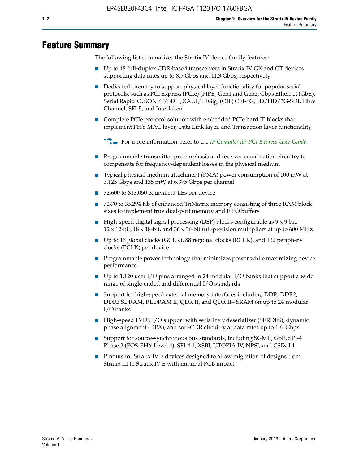# **Feature Summary**

The following list summarizes the Stratix IV device family features:

- Up to 48 full-duplex CDR-based transceivers in Stratix IV GX and GT devices supporting data rates up to 8.5 Gbps and 11.3 Gbps, respectively
- Dedicated circuitry to support physical layer functionality for popular serial protocols, such as PCI Express (PCIe) (PIPE) Gen1 and Gen2, Gbps Ethernet (GbE), Serial RapidIO, SONET/SDH, XAUI/HiGig, (OIF) CEI-6G, SD/HD/3G-SDI, Fibre Channel, SFI-5, and Interlaken
- Complete PCIe protocol solution with embedded PCIe hard IP blocks that implement PHY-MAC layer, Data Link layer, and Transaction layer functionality

**For more information, refer to the** *[IP Compiler for PCI Express User Guide](http://www.altera.com/literature/ug/ug_pci_express.pdf)***.** 

- Programmable transmitter pre-emphasis and receiver equalization circuitry to compensate for frequency-dependent losses in the physical medium
- Typical physical medium attachment (PMA) power consumption of 100 mW at 3.125 Gbps and 135 mW at 6.375 Gbps per channel
- 72,600 to 813,050 equivalent LEs per device
- 7,370 to 33,294 Kb of enhanced TriMatrix memory consisting of three RAM block sizes to implement true dual-port memory and FIFO buffers
- High-speed digital signal processing (DSP) blocks configurable as 9 x 9-bit,  $12 \times 12$ -bit,  $18 \times 18$ -bit, and  $36 \times 36$ -bit full-precision multipliers at up to 600 MHz
- Up to 16 global clocks (GCLK), 88 regional clocks (RCLK), and 132 periphery clocks (PCLK) per device
- Programmable power technology that minimizes power while maximizing device performance
- Up to 1,120 user I/O pins arranged in 24 modular I/O banks that support a wide range of single-ended and differential I/O standards
- Support for high-speed external memory interfaces including DDR, DDR2, DDR3 SDRAM, RLDRAM II, QDR II, and QDR II+ SRAM on up to 24 modular I/O banks
- High-speed LVDS I/O support with serializer/deserializer (SERDES), dynamic phase alignment (DPA), and soft-CDR circuitry at data rates up to 1.6 Gbps
- Support for source-synchronous bus standards, including SGMII, GbE, SPI-4 Phase 2 (POS-PHY Level 4), SFI-4.1, XSBI, UTOPIA IV, NPSI, and CSIX-L1
- Pinouts for Stratix IV E devices designed to allow migration of designs from Stratix III to Stratix IV E with minimal PCB impact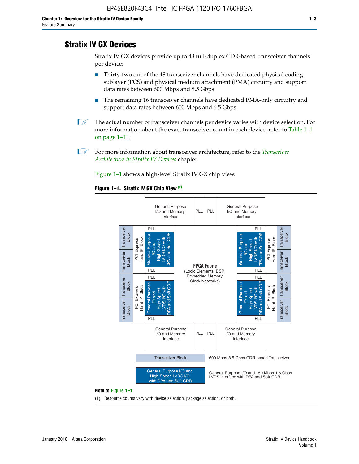# **Stratix IV GX Devices**

Stratix IV GX devices provide up to 48 full-duplex CDR-based transceiver channels per device:

- Thirty-two out of the 48 transceiver channels have dedicated physical coding sublayer (PCS) and physical medium attachment (PMA) circuitry and support data rates between 600 Mbps and 8.5 Gbps
- The remaining 16 transceiver channels have dedicated PMA-only circuitry and support data rates between 600 Mbps and 6.5 Gbps
- **1 The actual number of transceiver channels per device varies with device selection. For** more information about the exact transceiver count in each device, refer to Table 1–1 on page 1–11.
- 1 For more information about transceiver architecture, refer to the *[Transceiver](http://www.altera.com/literature/hb/stratix-iv/stx4_siv52001.pdf)  [Architecture in Stratix IV Devices](http://www.altera.com/literature/hb/stratix-iv/stx4_siv52001.pdf)* chapter.

Figure 1–1 shows a high-level Stratix IV GX chip view.

#### **Figure 1–1. Stratix IV GX Chip View** *(1)*



#### **Note to Figure 1–1:**

(1) Resource counts vary with device selection, package selection, or both.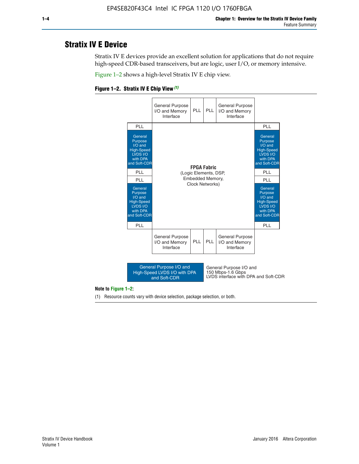# **Stratix IV E Device**

Stratix IV E devices provide an excellent solution for applications that do not require high-speed CDR-based transceivers, but are logic, user I/O, or memory intensive.

Figure 1–2 shows a high-level Stratix IV E chip view.





#### **Note to Figure 1–2:**

(1) Resource counts vary with device selection, package selection, or both.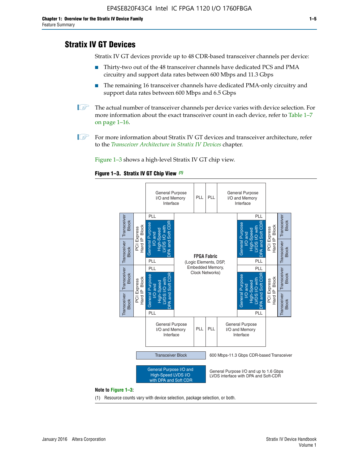# **Stratix IV GT Devices**

Stratix IV GT devices provide up to 48 CDR-based transceiver channels per device:

- Thirty-two out of the 48 transceiver channels have dedicated PCS and PMA circuitry and support data rates between 600 Mbps and 11.3 Gbps
- The remaining 16 transceiver channels have dedicated PMA-only circuitry and support data rates between 600 Mbps and 6.5 Gbps
- **1** The actual number of transceiver channels per device varies with device selection. For more information about the exact transceiver count in each device, refer to Table 1–7 on page 1–16.
- $\mathbb{I}$  For more information about Stratix IV GT devices and transceiver architecture, refer to the *[Transceiver Architecture in Stratix IV Devices](http://www.altera.com/literature/hb/stratix-iv/stx4_siv52001.pdf)* chapter.

Figure 1–3 shows a high-level Stratix IV GT chip view.





(1) Resource counts vary with device selection, package selection, or both.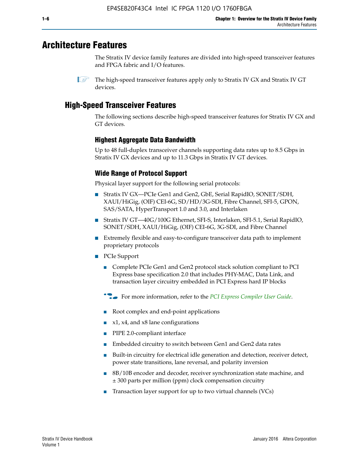# **Architecture Features**

The Stratix IV device family features are divided into high-speed transceiver features and FPGA fabric and I/O features.

 $\mathbb{I}$  The high-speed transceiver features apply only to Stratix IV GX and Stratix IV GT devices.

# **High-Speed Transceiver Features**

The following sections describe high-speed transceiver features for Stratix IV GX and GT devices.

### **Highest Aggregate Data Bandwidth**

Up to 48 full-duplex transceiver channels supporting data rates up to 8.5 Gbps in Stratix IV GX devices and up to 11.3 Gbps in Stratix IV GT devices.

### **Wide Range of Protocol Support**

Physical layer support for the following serial protocols:

- Stratix IV GX—PCIe Gen1 and Gen2, GbE, Serial RapidIO, SONET/SDH, XAUI/HiGig, (OIF) CEI-6G, SD/HD/3G-SDI, Fibre Channel, SFI-5, GPON, SAS/SATA, HyperTransport 1.0 and 3.0, and Interlaken
- Stratix IV GT—40G/100G Ethernet, SFI-S, Interlaken, SFI-5.1, Serial RapidIO, SONET/SDH, XAUI/HiGig, (OIF) CEI-6G, 3G-SDI, and Fibre Channel
- Extremely flexible and easy-to-configure transceiver data path to implement proprietary protocols
- PCIe Support
	- Complete PCIe Gen1 and Gen2 protocol stack solution compliant to PCI Express base specification 2.0 that includes PHY-MAC, Data Link, and transaction layer circuitry embedded in PCI Express hard IP blocks
	- **For more information, refer to the [PCI Express Compiler User Guide](http://www.altera.com/literature/ug/ug_pci_express.pdf).**
	- Root complex and end-point applications
	- $x1, x4,$  and  $x8$  lane configurations
	- PIPE 2.0-compliant interface
	- Embedded circuitry to switch between Gen1 and Gen2 data rates
	- Built-in circuitry for electrical idle generation and detection, receiver detect, power state transitions, lane reversal, and polarity inversion
	- 8B/10B encoder and decoder, receiver synchronization state machine, and ± 300 parts per million (ppm) clock compensation circuitry
	- Transaction layer support for up to two virtual channels (VCs)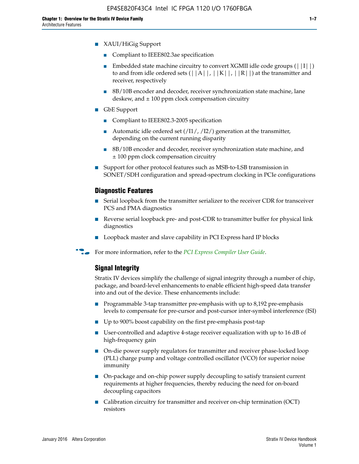- XAUI/HiGig Support
	- Compliant to IEEE802.3ae specification
	- **■** Embedded state machine circuitry to convert XGMII idle code groups  $(|11|)$ to and from idle ordered sets  $(|A|, |K|, |R|)$  at the transmitter and receiver, respectively
	- 8B/10B encoder and decoder, receiver synchronization state machine, lane deskew, and  $\pm 100$  ppm clock compensation circuitry
- GbE Support
	- Compliant to IEEE802.3-2005 specification
	- Automatic idle ordered set  $(111/112/1)$  generation at the transmitter, depending on the current running disparity
	- 8B/10B encoder and decoder, receiver synchronization state machine, and ± 100 ppm clock compensation circuitry
- Support for other protocol features such as MSB-to-LSB transmission in SONET/SDH configuration and spread-spectrum clocking in PCIe configurations

#### **Diagnostic Features**

- Serial loopback from the transmitter serializer to the receiver CDR for transceiver PCS and PMA diagnostics
- Reverse serial loopback pre- and post-CDR to transmitter buffer for physical link diagnostics
- Loopback master and slave capability in PCI Express hard IP blocks
- **For more information, refer to the** *[PCI Express Compiler User Guide](http://www.altera.com/literature/ug/ug_pci_express.pdf)***.**

#### **Signal Integrity**

Stratix IV devices simplify the challenge of signal integrity through a number of chip, package, and board-level enhancements to enable efficient high-speed data transfer into and out of the device. These enhancements include:

- Programmable 3-tap transmitter pre-emphasis with up to 8,192 pre-emphasis levels to compensate for pre-cursor and post-cursor inter-symbol interference (ISI)
- Up to 900% boost capability on the first pre-emphasis post-tap
- User-controlled and adaptive 4-stage receiver equalization with up to 16 dB of high-frequency gain
- On-die power supply regulators for transmitter and receiver phase-locked loop (PLL) charge pump and voltage controlled oscillator (VCO) for superior noise immunity
- On-package and on-chip power supply decoupling to satisfy transient current requirements at higher frequencies, thereby reducing the need for on-board decoupling capacitors
- Calibration circuitry for transmitter and receiver on-chip termination (OCT) resistors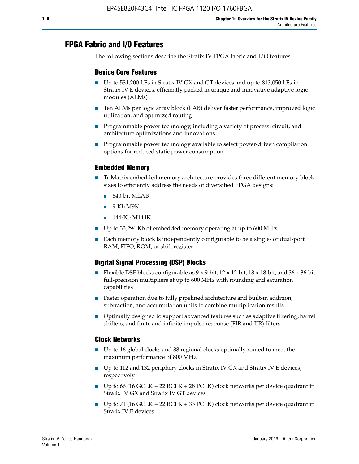# **FPGA Fabric and I/O Features**

The following sections describe the Stratix IV FPGA fabric and I/O features.

### **Device Core Features**

- Up to 531,200 LEs in Stratix IV GX and GT devices and up to 813,050 LEs in Stratix IV E devices, efficiently packed in unique and innovative adaptive logic modules (ALMs)
- Ten ALMs per logic array block (LAB) deliver faster performance, improved logic utilization, and optimized routing
- Programmable power technology, including a variety of process, circuit, and architecture optimizations and innovations
- Programmable power technology available to select power-driven compilation options for reduced static power consumption

#### **Embedded Memory**

- TriMatrix embedded memory architecture provides three different memory block sizes to efficiently address the needs of diversified FPGA designs:
	- 640-bit MLAB
	- 9-Kb M9K
	- 144-Kb M144K
- Up to 33,294 Kb of embedded memory operating at up to 600 MHz
- Each memory block is independently configurable to be a single- or dual-port RAM, FIFO, ROM, or shift register

### **Digital Signal Processing (DSP) Blocks**

- Flexible DSP blocks configurable as  $9 \times 9$ -bit,  $12 \times 12$ -bit,  $18 \times 18$ -bit, and  $36 \times 36$ -bit full-precision multipliers at up to 600 MHz with rounding and saturation capabilities
- Faster operation due to fully pipelined architecture and built-in addition, subtraction, and accumulation units to combine multiplication results
- Optimally designed to support advanced features such as adaptive filtering, barrel shifters, and finite and infinite impulse response (FIR and IIR) filters

#### **Clock Networks**

- Up to 16 global clocks and 88 regional clocks optimally routed to meet the maximum performance of 800 MHz
- Up to 112 and 132 periphery clocks in Stratix IV GX and Stratix IV E devices, respectively
- Up to 66 (16 GCLK + 22 RCLK + 28 PCLK) clock networks per device quadrant in Stratix IV GX and Stratix IV GT devices
- Up to 71 (16 GCLK + 22 RCLK + 33 PCLK) clock networks per device quadrant in Stratix IV E devices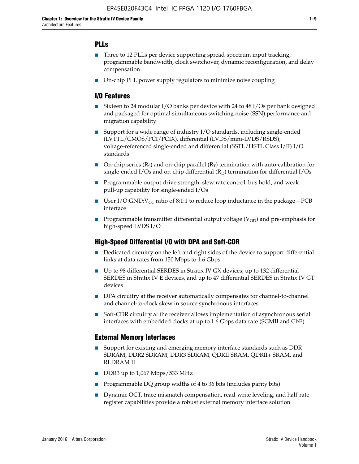### **PLLs**

- Three to 12 PLLs per device supporting spread-spectrum input tracking, programmable bandwidth, clock switchover, dynamic reconfiguration, and delay compensation
- On-chip PLL power supply regulators to minimize noise coupling

#### **I/O Features**

- Sixteen to 24 modular I/O banks per device with 24 to 48 I/Os per bank designed and packaged for optimal simultaneous switching noise (SSN) performance and migration capability
- Support for a wide range of industry I/O standards, including single-ended (LVTTL/CMOS/PCI/PCIX), differential (LVDS/mini-LVDS/RSDS), voltage-referenced single-ended and differential (SSTL/HSTL Class I/II) I/O standards
- **O**n-chip series  $(R_S)$  and on-chip parallel  $(R_T)$  termination with auto-calibration for single-ended I/Os and on-chip differential  $(R_D)$  termination for differential I/Os
- Programmable output drive strength, slew rate control, bus hold, and weak pull-up capability for single-ended I/Os
- User I/O:GND: $V_{CC}$  ratio of 8:1:1 to reduce loop inductance in the package—PCB interface
- **■** Programmable transmitter differential output voltage ( $V_{OD}$ ) and pre-emphasis for high-speed LVDS I/O

#### **High-Speed Differential I/O with DPA and Soft-CDR**

- Dedicated circuitry on the left and right sides of the device to support differential links at data rates from 150 Mbps to 1.6 Gbps
- Up to 98 differential SERDES in Stratix IV GX devices, up to 132 differential SERDES in Stratix IV E devices, and up to 47 differential SERDES in Stratix IV GT devices
- DPA circuitry at the receiver automatically compensates for channel-to-channel and channel-to-clock skew in source synchronous interfaces
- Soft-CDR circuitry at the receiver allows implementation of asynchronous serial interfaces with embedded clocks at up to 1.6 Gbps data rate (SGMII and GbE)

#### **External Memory Interfaces**

- Support for existing and emerging memory interface standards such as DDR SDRAM, DDR2 SDRAM, DDR3 SDRAM, QDRII SRAM, QDRII+ SRAM, and RLDRAM II
- DDR3 up to 1,067 Mbps/533 MHz
- Programmable DQ group widths of 4 to 36 bits (includes parity bits)
- Dynamic OCT, trace mismatch compensation, read-write leveling, and half-rate register capabilities provide a robust external memory interface solution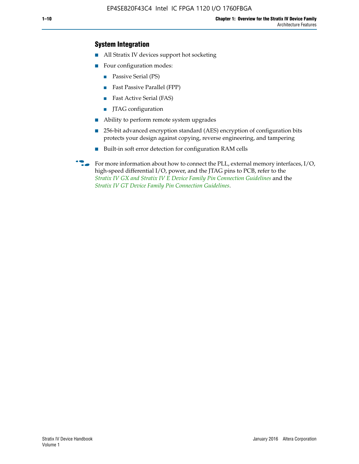### **System Integration**

- All Stratix IV devices support hot socketing
- Four configuration modes:
	- Passive Serial (PS)
	- Fast Passive Parallel (FPP)
	- Fast Active Serial (FAS)
	- JTAG configuration
- Ability to perform remote system upgrades
- 256-bit advanced encryption standard (AES) encryption of configuration bits protects your design against copying, reverse engineering, and tampering
- Built-in soft error detection for configuration RAM cells
- For more information about how to connect the PLL, external memory interfaces,  $I/O$ , high-speed differential I/O, power, and the JTAG pins to PCB, refer to the *[Stratix IV GX and Stratix IV E Device Family Pin Connection Guidelines](http://www.altera.com/literature/dp/stratix4/PCG-01005.pdf)* and the *[Stratix IV GT Device Family Pin Connection Guidelines](http://www.altera.com/literature/dp/stratix4/PCG-01006.pdf)*.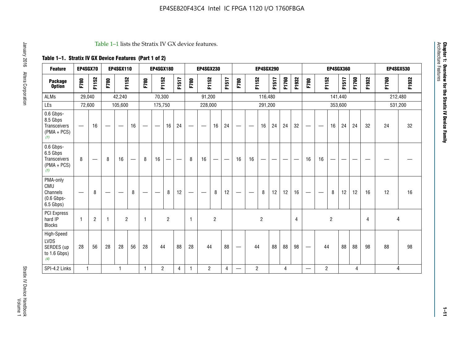#### Table 1–1 lists the Stratix IV GX device features.

## **Table 1–1. Stratix IV GX Device Features (Part 1 of 2)**

| <b>Feature</b>                                                       | EP4SGX70                       |                |                                  | <b>EP4SGX110</b> |    |                                | <b>EP4SGX180</b>               |                |       |              | <b>EP4SGX230</b>         |                          |                               |      |                | <b>EP4SGX290</b> |       |       |       |                          |                   |                | <b>EP4SGX360</b> |       |       |         | <b>EP4SGX530</b> |
|----------------------------------------------------------------------|--------------------------------|----------------|----------------------------------|------------------|----|--------------------------------|--------------------------------|----------------|-------|--------------|--------------------------|--------------------------|-------------------------------|------|----------------|------------------|-------|-------|-------|--------------------------|-------------------|----------------|------------------|-------|-------|---------|------------------|
| <b>Package</b><br><b>Option</b>                                      | F780                           | F1152          | F780                             | F1152            |    | F780                           | F1152                          |                | F1517 | F780         | F1152                    |                          | F1517                         | F780 | F1152          |                  | F1517 | F1760 | F1932 | F780                     | F1152             |                | F1517            | F1760 | F1932 | F1760   | F1932            |
| ALMs                                                                 | 29,040                         |                |                                  | 42,240           |    |                                | 70,300                         |                |       |              | 91,200                   |                          |                               |      |                | 116,480          |       |       |       |                          |                   |                | 141,440          |       |       | 212,480 |                  |
| LEs                                                                  | 72,600                         |                |                                  | 105,600          |    |                                | 175,750                        |                |       |              | 228,000                  |                          |                               |      |                | 291,200          |       |       |       |                          |                   |                | 353,600          |       |       |         | 531,200          |
| 0.6 Gbps-<br>8.5 Gbps<br>Transceivers<br>$(PMA + PCs)$<br>(1)        | $\overline{\phantom{0}}$       | 16             |                                  |                  | 16 |                                | $\qquad \qquad \longleftarrow$ | 16             | 24    |              |                          | 16                       | 24                            |      |                | 16               | 24    | 24    | 32    | $\overline{\phantom{0}}$ |                   | 16             | 24               | 24    | 32    | 24      | 32               |
| 0.6 Gbps-<br>6.5 Gbps<br><b>Transceivers</b><br>$(PMA + PCs)$<br>(1) | 8                              |                | 8                                | 16               | –  | 8                              | 16                             | -              |       | 8            | 16                       | $\overline{\phantom{0}}$ | $\overbrace{\phantom{aaaaa}}$ | 16   | 16             |                  | -     |       |       | 16                       | 16                |                |                  |       |       |         |                  |
| PMA-only<br>CMU<br>Channels<br>$(0.6$ Gbps-<br>6.5 Gbps)             | $\qquad \qquad \longleftarrow$ | 8              | $\overbrace{\phantom{12322111}}$ |                  | 8  | $\qquad \qquad \longleftarrow$ |                                | 8              | 12    | -            | $\overline{\phantom{a}}$ | 8                        | 12                            |      |                | 8                | 12    | 12    | 16    | $\overline{\phantom{0}}$ | $\hspace{0.05cm}$ | 8              | 12               | 12    | 16    | 12      | 16               |
| PCI Express<br>hard IP<br><b>Blocks</b>                              | $\mathbf{1}$                   | $\overline{2}$ |                                  | $\overline{2}$   |    | 1                              |                                | $\overline{2}$ |       | $\mathbf{1}$ |                          | $\overline{c}$           |                               |      |                | $\overline{c}$   |       |       | 4     |                          |                   | $\overline{2}$ |                  |       | 4     |         | 4                |
| High-Speed<br>LVDS<br>SERDES (up<br>to 1.6 Gbps)<br>(4)              | 28                             | 56             | 28                               | 28               | 56 | 28                             | 44                             |                | 88    | 28           | 44                       |                          | 88                            | —    | 44             |                  | 88    | 88    | 98    |                          | 44                |                | 88               | 88    | 98    | 88      | 98               |
| SPI-4.2 Links                                                        | $\mathbf{1}$                   |                |                                  | 1                |    | $\mathbf{1}$                   | $\overline{c}$                 |                | 4     | 1            | $\overline{c}$           |                          | $\overline{4}$                | —    | $\overline{2}$ |                  |       | 4     |       | $\overline{\phantom{0}}$ | $\overline{2}$    |                |                  | 4     |       |         | 4                |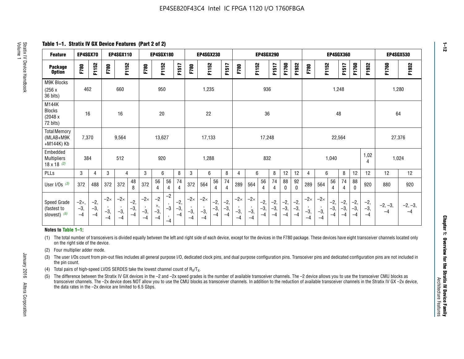**Table 1–1. Stratix IV GX Device Features (Part 2 of 2)**

| <b>Feature</b>                                       | EP4SGX70                |                        |                             | <b>EP4SGX110</b>            |                      |                             | <b>EP4SGX180</b>          |                      |                        |                             | <b>EP4SGX230</b>            |                      |                      |                            |                             | EP4SGX290              |                      |                      |                        |                             |                             |                        | <b>EP4SGX360</b>      |                      |                        | <b>EP4SGX530</b>  |                 |
|------------------------------------------------------|-------------------------|------------------------|-----------------------------|-----------------------------|----------------------|-----------------------------|---------------------------|----------------------|------------------------|-----------------------------|-----------------------------|----------------------|----------------------|----------------------------|-----------------------------|------------------------|----------------------|----------------------|------------------------|-----------------------------|-----------------------------|------------------------|-----------------------|----------------------|------------------------|-------------------|-----------------|
| <b>Package</b><br><b>Option</b>                      | F780                    | F1152                  | F780                        | F1152                       |                      | F780                        | F1152                     |                      | F1517                  | F780                        | F1152                       |                      | F1517                | F780                       | F1152                       |                        | F1517                | F1760                | F1932                  | F780                        | F1152                       |                        | F1517                 | F1760                | F1932                  | F1760             | F1932           |
| M9K Blocks<br>(256x)<br>36 bits)                     | 462                     |                        |                             | 660                         |                      |                             | 950                       |                      |                        |                             | 1,235                       |                      |                      |                            |                             | 936                    |                      |                      |                        |                             |                             | 1,248                  |                       |                      |                        |                   | 1,280           |
| M144K<br><b>Blocks</b><br>(2048 x<br>72 bits)        | 16                      |                        |                             | 16                          |                      |                             | 20                        |                      |                        |                             | 22                          |                      |                      |                            |                             | 36                     |                      |                      |                        |                             |                             | 48                     |                       |                      |                        | 64                |                 |
| <b>Total Memory</b><br>(MLAB+M9K<br>+M144K) Kb       | 7,370                   |                        |                             | 9,564                       |                      |                             | 13,627                    |                      |                        |                             | 17,133                      |                      |                      |                            |                             | 17,248                 |                      |                      |                        |                             |                             | 22,564                 |                       |                      |                        | 27,376            |                 |
| Embedded<br><b>Multipliers</b><br>$18 \times 18$ (2) | 384                     |                        |                             | 512                         |                      |                             | 920                       |                      |                        |                             | 1,288                       |                      |                      |                            |                             | 832                    |                      |                      |                        |                             |                             | 1,040                  |                       |                      | 1,02<br>4              | 1,024             |                 |
| PLLs                                                 | 3                       | $\overline{4}$         | 3                           | 4                           |                      | 3                           | 6                         |                      | 8                      | 3                           | 6                           |                      | 8                    | 4                          | 6                           |                        | 8                    | 12                   | 12                     | 4                           | 6                           |                        | 8                     | 12                   | 12                     | 12                | 12              |
| User $I/Os$ (3)                                      | 372                     | 488                    | 372                         | 372                         | 48<br>8              | 372                         | 56<br>4                   | 56<br>4              | 74<br>4                | 372                         | 564                         | 56<br>$\overline{4}$ | 74<br>$\overline{4}$ | 289                        | 564                         | 56<br>4                | 74<br>4              | 88<br>0              | 92<br>$\mathbf 0$      | 289                         | 564                         | 56<br>4                | 74<br>4               | 88<br>$\mathbf{0}$   | 920                    | 880               | 920             |
| Speed Grade<br>(fastest to<br>slowest) (5)           | $-2x,$<br>$-3,$<br>$-4$ | $-2,$<br>$-3,$<br>$-4$ | $-2\times$<br>$-3,$<br>$-4$ | $-2\times$<br>$-3,$<br>$-4$ | $-2,$<br>-3,<br>$-4$ | $-2\times$<br>$-3,$<br>$-4$ | $-2$<br>×,<br>$-3,$<br>-4 | $-2$<br>$-3$<br>$-4$ | $-2,$<br>$-3,$<br>$-4$ | $-2\times$<br>$-3,$<br>$-4$ | $-2\times$<br>$-3,$<br>$-4$ | $-2,$<br>-3,<br>$-4$ | $-2,$<br>-3,<br>$-4$ | $-2\times$<br>$-3$<br>$-4$ | $-2\times$<br>$-3,$<br>$-4$ | $-2,$<br>$-3,$<br>$-4$ | $-2,$<br>-3,<br>$-4$ | $-2,$<br>-3,<br>$-4$ | $-2,$<br>$-3,$<br>$-4$ | $-2\times$<br>$-3,$<br>$-4$ | $-2\times$<br>$-3,$<br>$-4$ | $-2,$<br>$-3,$<br>$-4$ | $-2,$<br>$-3$<br>$-4$ | $-2,$<br>-3,<br>$-4$ | $-2,$<br>$-3,$<br>$-4$ | $-2, -3,$<br>$-4$ | $-2, -3,$<br>-4 |

#### **Notes to Table 1–1:**

(1) The total number of transceivers is divided equally between the left and right side of each device, except for the devices in the F780 package. These devices have eight transceiver channels located only on the right side of the device.

- (2) Four multiplier adder mode.
- (3) The user I/Os count from pin-out files includes all general purpose I/O, dedicated clock pins, and dual purpose configuration pins. Transceiver pins and dedicated configuration pins are not included in the pin count.
- (4) Total pairs of high-speed LVDS SERDES take the lowest channel count of  $R_X/T_X$ .
- (5) The difference between the Stratix IV GX devices in the –2 and –2x speed grades is the number of available transceiver channels. The –2 device allows you to use the transceiver CMU blocks as transceiver channels. The –2x device does NOT allow you to use the CMU blocks as transceiver channels. In addition to the reduction of available transceiver channels in the Stratix IV GX –2x device, the data rates in the –2x device are limited to 6.5 Gbps.

January 2016 Altera Corporation

Altera Corporation

January 2016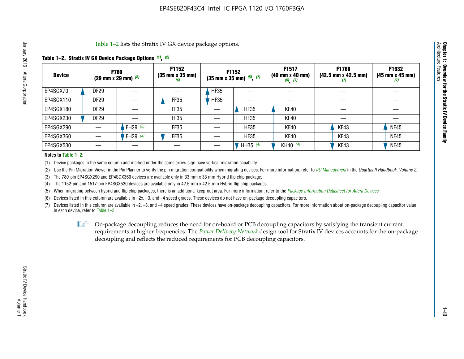Table 1–2 lists the Stratix IV GX device package options.

#### **Table 1–2. Stratix IV GX Device Package Options** *(1)***,** *(2)*

| <b>Device</b> |                  | <b>F780</b><br>(29 mm x 29 mm) $(6)$ | F1152<br>$(35 \, \text{mm} \times 35 \, \text{mm})$<br>(6) |             | <b>F1152</b><br>$(35 \text{ mm} \times 35 \text{ mm})$ $(5)$ , $(7)$ | F1517<br>(40 mm x 40 mm)<br>$(5)$ $(7)$ | <b>F1760</b><br>$(42.5 \text{ mm} \times 42.5 \text{ mm})$<br>(I) | F1932<br>$(45 \, \text{mm} \times 45 \, \text{mm})$<br>(7) |
|---------------|------------------|--------------------------------------|------------------------------------------------------------|-------------|----------------------------------------------------------------------|-----------------------------------------|-------------------------------------------------------------------|------------------------------------------------------------|
| EP4SGX70      | <b>DF29</b>      |                                      |                                                            | <b>HF35</b> |                                                                      |                                         |                                                                   |                                                            |
| EP4SGX110     | DF <sub>29</sub> |                                      | FF35                                                       | <b>HF35</b> |                                                                      |                                         |                                                                   |                                                            |
| EP4SGX180     | DF <sub>29</sub> |                                      | FF35                                                       |             | <b>HF35</b>                                                          | KF40                                    |                                                                   |                                                            |
| EP4SGX230     | DF <sub>29</sub> |                                      | FF35                                                       |             | <b>HF35</b>                                                          | KF40                                    |                                                                   |                                                            |
| EP4SGX290     |                  | FH29 $(3)$                           | FF35                                                       |             | <b>HF35</b>                                                          | KF40                                    | KF43                                                              | <b>NF45</b>                                                |
| EP4SGX360     |                  | FH29 (3)                             | FF35                                                       |             | <b>HF35</b>                                                          | KF40                                    | KF43                                                              | <b>NF45</b>                                                |
| EP4SGX530     |                  |                                      |                                                            |             | HH35 (4)                                                             | KH40 (4)                                | KF43                                                              | <b>NF45</b>                                                |

#### **Notes to Table 1–2:**

(1) Device packages in the same column and marked under the same arrow sign have vertical migration capability.

(2) Use the Pin Migration Viewer in the Pin Planner to verify the pin migration compatibility when migrating devices. For more information, refer to *[I/O Management](http://www.altera.com/literature/hb/qts/qts_qii52013.pdf)* in the *Quartus II Handbook, Volume 2*.

(3) The 780-pin EP4SGX290 and EP4SGX360 devices are available only in 33 mm x 33 mm Hybrid flip chip package.

(4) The 1152-pin and 1517-pin EP4SGX530 devices are available only in 42.5 mm x 42.5 mm Hybrid flip chip packages.

(5) When migrating between hybrid and flip chip packages, there is an additional keep-out area. For more information, refer to the *[Package Information Datasheet for Altera Devices](http://www.altera.com/literature/ds/dspkg.pdf)*.

(6) Devices listed in this column are available in –2x, –3, and –4 speed grades. These devices do not have on-package decoupling capacitors.

(7) Devices listed in this column are available in –2, –3, and –4 speed grades. These devices have on-package decoupling capacitors. For more information about on-package decoupling capacitor value in each device, refer to Table 1–3.

 $\mathbb{L}$ s On-package decoupling reduces the need for on-board or PCB decoupling capacitors by satisfying the transient current requirements at higher frequencies. The *[Power Delivery Network](http://www.altera.com/literature/ug/pdn_tool_stxiv.zip)* design tool for Stratix IV devices accounts for the on-package decoupling and reflects the reduced requirements for PCB decoupling capacitors.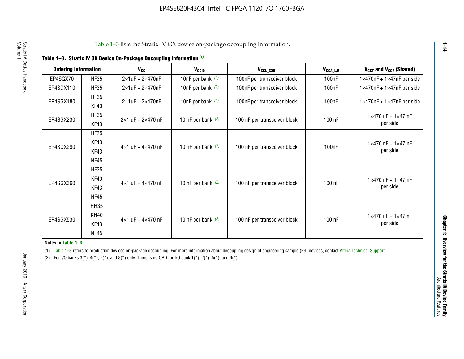|  | Table 1-3. Stratix IV GX Device On-Package Decoupling Information (1) |  |  |
|--|-----------------------------------------------------------------------|--|--|
|--|-----------------------------------------------------------------------|--|--|

| <b>Ordering Information</b> |                     | $V_{cc}$                            | V <sub>CCIO</sub>    | V <sub>CCL_GXB</sub>         | $V_{\texttt{CCA}\_\textsf{L/R}}$ | V <sub>CCT</sub> and V <sub>CCR</sub> (Shared)   |
|-----------------------------|---------------------|-------------------------------------|----------------------|------------------------------|----------------------------------|--------------------------------------------------|
| EP4SGX70                    | <b>HF35</b>         | $2\times1$ uF + $2\times470$ nF     | 10nF per bank $(2)$  | 100nF per transceiver block  | 100 <sub>n</sub> F               | $1\times470$ nF + $1\times47$ nF per side        |
| EP4SGX110                   | <b>HF35</b>         | $2\times1$ uF + $2\times470$ nF     | 10nF per bank $(2)$  | 100nF per transceiver block  | 100 <sub>n</sub> F               | $1\times470$ nF + $1\times47$ nF per side        |
| EP4SGX180                   | <b>HF35</b><br>KF40 | $2\times1$ uF + $2\times470$ nF     | 10nF per bank $(2)$  | 100nF per transceiver block  | 100 <sub>n</sub> F               | $1\times470$ nF + $1\times47$ nF per side        |
| EP4SGX230                   | <b>HF35</b><br>KF40 | $2 \times 1$ uF + $2 \times 470$ nF | 10 nF per bank $(2)$ | 100 nF per transceiver block | 100 nF                           | $1 \times 470$ nF + $1 \times 47$ nF<br>per side |
|                             | <b>HF35</b>         |                                     |                      |                              |                                  |                                                  |
| EP4SGX290                   | KF40<br>KF43        | $4\times1$ uF + $4\times470$ nF     | 10 nF per bank $(2)$ | 100 nF per transceiver block | 100 <sub>n</sub> F               | $1 \times 470$ nF + $1 \times 47$ nF<br>per side |
|                             | <b>NF45</b>         |                                     |                      |                              |                                  |                                                  |
|                             | <b>HF35</b>         |                                     |                      |                              |                                  |                                                  |
| EP4SGX360                   | KF40                | $4 \times 1$ uF + $4 \times 470$ nF | 10 nF per bank $(2)$ | 100 nF per transceiver block | 100 nF                           | $1 \times 470$ nF + $1 \times 47$ nF             |
|                             | KF43                |                                     |                      |                              |                                  | per side                                         |
|                             | <b>NF45</b>         |                                     |                      |                              |                                  |                                                  |
|                             | <b>HH35</b>         |                                     |                      |                              |                                  |                                                  |
|                             | KH40                |                                     |                      |                              |                                  | $1 \times 470$ nF + $1 \times 47$ nF             |
| EP4SGX530                   | KF43                | $4\times1$ uF + $4\times470$ nF     | 10 nF per bank $(2)$ | 100 nF per transceiver block | 100 nF                           | per side                                         |
|                             | <b>NF45</b>         |                                     |                      |                              |                                  |                                                  |

**Notes to Table 1–3:**

(1) Table 1-3 refers to production devices on-package decoupling. For more information about decoupling design of engineering sample (ES) devices, contact [Altera Technical Support](http://mysupport.altera.com/eservice/login.asp).

(2) For I/O banks  $3(*)$ ,  $4(*)$ ,  $7(*)$ , and  $8(*)$  only. There is no OPD for I/O bank  $1(*)$ ,  $2(*)$ ,  $5(*)$ , and  $6(*)$ .

**1–14**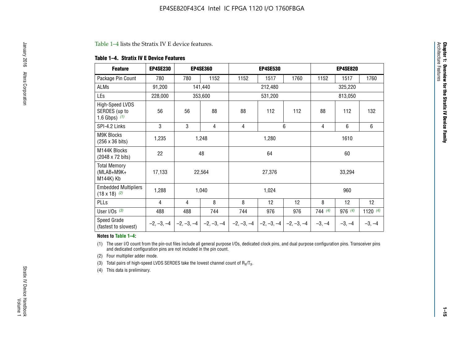#### Table 1–4 lists the Stratix IV E device features.

#### **Table 1–4. Stratix IV E Device Features**

| <b>Feature</b>                                      | <b>EP4SE230</b> |     | <b>EP4SE360</b>                          |              | <b>EP4SE530</b> |              |                | <b>EP4SE820</b>                                         |                 |  |
|-----------------------------------------------------|-----------------|-----|------------------------------------------|--------------|-----------------|--------------|----------------|---------------------------------------------------------|-----------------|--|
| Package Pin Count                                   | 780             | 780 | 1152                                     | 1152         | 1517            | 1760         | 1152           | 1517                                                    | 1760            |  |
| ALMs                                                | 91,200          |     | 141,440                                  |              | 212,480         |              |                | 325,220                                                 |                 |  |
| LEs                                                 | 228,000         |     | 353,600                                  |              | 531,200         |              |                | 813,050<br>132<br>112<br>6<br>6<br>1610<br>60<br>33,294 |                 |  |
| High-Speed LVDS<br>SERDES (up to<br>1.6 Gbps) $(1)$ | 56              | 56  | 88                                       | 88           | 112             | 112          | 88             |                                                         |                 |  |
| SPI-4.2 Links                                       | 3               | 3   | 4                                        | 4            |                 | 6            | $\overline{4}$ |                                                         |                 |  |
| M9K Blocks<br>(256 x 36 bits)                       | 1,235           |     | 1,248                                    |              | 1,280           |              |                |                                                         |                 |  |
| M144K Blocks<br>(2048 x 72 bits)                    | 22              |     | 48                                       |              | 64              |              |                |                                                         |                 |  |
| <b>Total Memory</b><br>(MLAB+M9K+<br>M144K) Kb      | 17,133          |     | 22,564                                   |              | 27,376          |              |                |                                                         |                 |  |
| <b>Embedded Multipliers</b><br>$(18 \times 18)$ (2) | 1,288           |     | 1,040                                    |              | 1,024           |              |                | 960                                                     |                 |  |
| PLLs                                                | 4               | 4   | 8                                        | 8            | 12              | 12           | 8              | 12                                                      | 12 <sup>2</sup> |  |
| User I/Os $(3)$                                     | 488             | 488 | 744                                      | 744          | 976             | 976          | 744(4)         | 976 (4)                                                 | 1120 $(4)$      |  |
| Speed Grade<br>(fastest to slowest)                 |                 |     | $-2, -3, -4$ $ -2, -3, -4$ $ -2, -3, -4$ | $-2, -3, -4$ | $-2, -3, -4$    | $-2, -3, -4$ | $-3, -4$       | $-3, -4$                                                | $-3, -4$        |  |

#### **Notes to Table 1–4:**

(1) The user I/O count from the pin-out files include all general purpose I/Os, dedicated clock pins, and dual purpose configuration pins. Transceiver pins and dedicated configuration pins are not included in the pin count.

(2) Four multiplier adder mode.

(3) Total pairs of high-speed LVDS SERDES take the lowest channel count of  $R_X/T_X$ .

(4) This data is preliminary.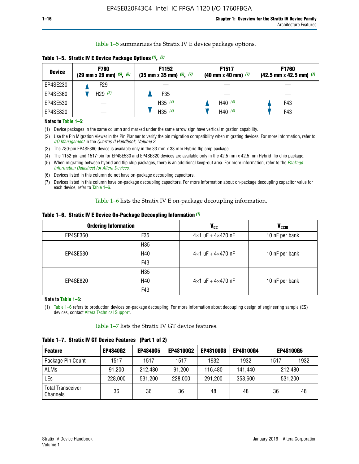Table 1–5 summarizes the Stratix IV E device package options.

| <b>Device</b> | <b>F780</b><br>$(29 \text{ mm} \times 29 \text{ mm})$ $(5)$ , $(6)$ | F1152<br>$(35 \text{ mm} \times 35 \text{ mm})$ $(5)$ , $(7)$ | F <sub>1517</sub><br>$(40 \text{ mm} \times 40 \text{ mm})$ (7) | <b>F1760</b><br>$(42.5$ mm x 42.5 mm) $(7)$ |  |  |
|---------------|---------------------------------------------------------------------|---------------------------------------------------------------|-----------------------------------------------------------------|---------------------------------------------|--|--|
| EP4SE230      | F29                                                                 |                                                               |                                                                 |                                             |  |  |
| EP4SE360      | H <sub>29</sub> $(3)$                                               | F35                                                           |                                                                 |                                             |  |  |
| EP4SE530      |                                                                     | H35 $(4)$                                                     | H40 $(4)$                                                       | F43                                         |  |  |
| EP4SE820      |                                                                     | H35 $(4)$                                                     | H40 $(4)$                                                       | F43                                         |  |  |

**Table 1–5. Stratix IV E Device Package Options** *(1)***,** *(2)*

#### **Notes to Table 1–5:**

(1) Device packages in the same column and marked under the same arrow sign have vertical migration capability.

(2) Use the Pin Migration Viewer in the Pin Planner to verify the pin migration compatibility when migrating devices. For more information, refer to *[I/O Management](http://www.altera.com/literature/hb/qts/qts_qii52013.pdf)* in the *Quartus II Handbook, Volume 2*.

(3) The 780-pin EP4SE360 device is available only in the 33 mm x 33 mm Hybrid flip chip package.

(4) The 1152-pin and 1517-pin for EP4SE530 and EP4SE820 devices are available only in the 42.5 mm x 42.5 mm Hybrid flip chip package.

(5) When migrating between hybrid and flip chip packages, there is an additional keep-out area. For more information, refer to the *[Package](http://www.altera.com/literature/ds/dspkg.pdf)  [Information Datasheet for Altera Devices](http://www.altera.com/literature/ds/dspkg.pdf)*.

(6) Devices listed in this column do not have on-package decoupling capacitors.

(7) Devices listed in this column have on-package decoupling capacitors. For more information about on-package decoupling capacitor value for each device, refer to Table 1–6.

Table 1–6 lists the Stratix IV E on-package decoupling information.

| Table 1–6. Stratix IV E Device On-Package Decoupling Information (1) |  |  |  |  |  |
|----------------------------------------------------------------------|--|--|--|--|--|
|----------------------------------------------------------------------|--|--|--|--|--|

|          | <b>Ordering Information</b> | <b>V<sub>cc</sub></b>               | <b>V<sub>CCIO</sub></b> |
|----------|-----------------------------|-------------------------------------|-------------------------|
| EP4SE360 | F <sub>35</sub>             | $4 \times 1$ uF + $4 \times 470$ nF | 10 nF per bank          |
|          | H <sub>35</sub>             |                                     |                         |
| EP4SE530 | H40                         | $4 \times 1$ uF + $4 \times 470$ nF | 10 nF per bank          |
|          | F43                         |                                     |                         |
|          | H <sub>35</sub>             |                                     |                         |
| EP4SE820 | H40                         | $4 \times 1$ uF + $4 \times 470$ nF | 10 nF per bank          |
|          | F43                         |                                     |                         |

**Note to Table 1–6:**

(1) Table 1–6 refers to production devices on-package decoupling. For more information about decoupling design of engineering sample (ES) devices, contact [Altera Technical Support](http://mysupport.altera.com/eservice/login.asp).

Table 1–7 lists the Stratix IV GT device features.

| <b>Feature</b>                       | <b>EP4S40G2</b> | <b>EP4S40G5</b> | <b>EP4S100G2</b> | <b>EP4S100G3</b> | <b>EP4S100G4</b> |      | <b>EP4S100G5</b> |
|--------------------------------------|-----------------|-----------------|------------------|------------------|------------------|------|------------------|
| Package Pin Count                    | 1517            | 1517            | 1517             | 1932             | 1932             | 1517 | 1932             |
| <b>ALMs</b>                          | 91,200          | 212,480         | 91,200           | 116,480          | 141,440          |      | 212.480          |
| LEs                                  | 228,000         | 531,200         | 228,000          | 291,200          | 353,600          |      | 531,200          |
| <b>Total Transceiver</b><br>Channels | 36              | 36              | 36               | 48               | 48               | 36   | 48               |

**Table 1–7. Stratix IV GT Device Features (Part 1 of 2)**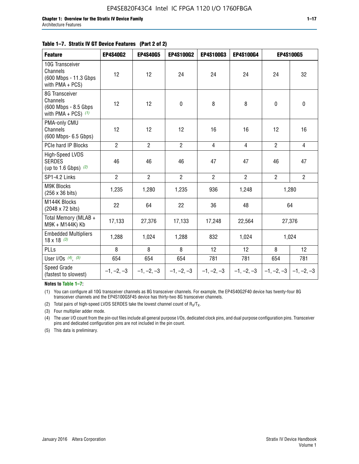#### **Table 1–7. Stratix IV GT Device Features (Part 2 of 2)**

| <b>Feature</b>                                                              | <b>EP4S40G2</b> | <b>EP4S40G5</b> | <b>EP4S100G2</b> | <b>EP4S100G3</b> | EP4S100G4      |                           | <b>EP4S100G5</b> |
|-----------------------------------------------------------------------------|-----------------|-----------------|------------------|------------------|----------------|---------------------------|------------------|
| 10G Transceiver<br>Channels<br>(600 Mbps - 11.3 Gbps<br>with PMA + PCS)     | 12              | 12              | 24               | 24               | 24             | 24                        | 32               |
| 8G Transceiver<br>Channels<br>(600 Mbps - 8.5 Gbps<br>with PMA + PCS) $(1)$ | 12              | 12              | $\pmb{0}$        | 8                | 8              | $\mathbf 0$               | $\pmb{0}$        |
| PMA-only CMU<br>Channels<br>(600 Mbps- 6.5 Gbps)                            | 12              | 12              | 12               | 16               | 16             | 12                        | 16               |
| PCIe hard IP Blocks                                                         | $\overline{2}$  | $\overline{2}$  | $\overline{2}$   | 4                | $\overline{4}$ | $\overline{2}$            | $\overline{4}$   |
| High-Speed LVDS<br><b>SERDES</b><br>(up to 1.6 Gbps) $(2)$                  | 46              | 46              | 46               | 47               | 47             | 46                        | 47               |
| SP1-4.2 Links                                                               | $\overline{2}$  | $\overline{2}$  | $\overline{2}$   | $\overline{2}$   | $\overline{2}$ | $\overline{2}$            | $2^{\circ}$      |
| <b>M9K Blocks</b><br>(256 x 36 bits)                                        | 1,235           | 1,280           | 1,235            | 936              | 1,248          |                           | 1,280            |
| M144K Blocks<br>(2048 x 72 bits)                                            | 22              | 64              | 22               | 36               | 48             |                           | 64               |
| Total Memory (MLAB +<br>M9K + M144K) Kb                                     | 17,133          | 27,376          | 17,133           | 17,248           | 22,564         |                           | 27,376           |
| <b>Embedded Multipliers</b><br>$18 \times 18^{(3)}$                         | 1,288           | 1,024           | 1,288            | 832              | 1,024          |                           | 1,024            |
| PLLs                                                                        | 8               | 8               | 8                | 12               | 12             | 8                         | 12               |
| User I/Os $(4)$ , $(5)$                                                     | 654             | 654             | 654              | 781              | 781            | 654                       | 781              |
| Speed Grade<br>(fastest to slowest)                                         | $-1, -2, -3$    | $-1, -2, -3$    | $-1, -2, -3$     | $-1, -2, -3$     | $-1, -2, -3$   | $-1, -2, -3$ $-1, -2, -3$ |                  |

**Notes to Table 1–7:**

(1) You can configure all 10G transceiver channels as 8G transceiver channels. For example, the EP4S40G2F40 device has twenty-four 8G transceiver channels and the EP4S100G5F45 device has thirty-two 8G transceiver channels.

(2) Total pairs of high-speed LVDS SERDES take the lowest channel count of  $R_X/T_X$ .

(3) Four multiplier adder mode.

(4) The user I/O count from the pin-out files include all general purpose I/Os, dedicated clock pins, and dual purpose configuration pins. Transceiver pins and dedicated configuration pins are not included in the pin count.

(5) This data is preliminary.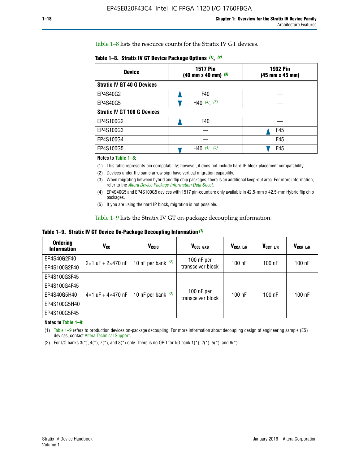Table 1–8 lists the resource counts for the Stratix IV GT devices.

| Table 1–8. Stratix IV GT Device Package Options (1), (2) |  |  |  |  |  |  |
|----------------------------------------------------------|--|--|--|--|--|--|
|----------------------------------------------------------|--|--|--|--|--|--|

| <b>Device</b>                      | <b>1517 Pin</b><br>$(40 \text{ mm} \times 40 \text{ mm})$ (3) | <b>1932 Pin</b><br>(45 mm x 45 mm) |  |
|------------------------------------|---------------------------------------------------------------|------------------------------------|--|
| <b>Stratix IV GT 40 G Devices</b>  |                                                               |                                    |  |
| EP4S40G2                           | F40                                                           |                                    |  |
| EP4S40G5                           | H40 $(4)$ , $(5)$                                             |                                    |  |
| <b>Stratix IV GT 100 G Devices</b> |                                                               |                                    |  |
| EP4S100G2                          | F40                                                           |                                    |  |
| EP4S100G3                          |                                                               | F45                                |  |
| EP4S100G4                          |                                                               | F45                                |  |
| EP4S100G5                          | H40 $(4)$ $(5)$                                               | F45                                |  |

#### **Notes to Table 1–8:**

(1) This table represents pin compatability; however, it does not include hard IP block placement compatability.

- (2) Devices under the same arrow sign have vertical migration capability.
- (3) When migrating between hybrid and flip chip packages, there is an additional keep-out area. For more information, refer to the *[Altera Device Package Information Data Sheet](http://www.altera.com/literature/ds/dspkg.pdf)*.
- (4) EP4S40G5 and EP4S100G5 devices with 1517 pin-count are only available in 42.5-mm x 42.5-mm Hybrid flip chip packages.
- (5) If you are using the hard IP block, migration is not possible.

Table 1–9 lists the Stratix IV GT on-package decoupling information.

**Table 1–9. Stratix IV GT Device On-Package Decoupling Information** *(1)*

| <b>Ordering</b><br><b>Information</b> | Vcc                                 | <b>V<sub>CCIO</sub></b> | V <sub>CCL GXB</sub>            | V <sub>CCA L/R</sub> | V <sub>CCT L/R</sub> | V <sub>CCR_L/R</sub> |
|---------------------------------------|-------------------------------------|-------------------------|---------------------------------|----------------------|----------------------|----------------------|
| EP4S40G2F40                           | $2 \times 1$ uF + $2 \times 470$ nF | 10 nF per bank $(2)$    | 100 nF per<br>transceiver block | $100$ nF             | $100$ nF             | $100$ nF             |
| EP4S100G2F40                          |                                     |                         |                                 |                      |                      |                      |
| EP4S100G3F45                          |                                     | 10 nF per bank $(2)$    | 100 nF per<br>transceiver block | $100$ nF             | $100$ nF             | $100$ nF             |
| EP4S100G4F45                          |                                     |                         |                                 |                      |                      |                      |
| EP4S40G5H40                           | $4\times1$ uF + $4\times470$ nF     |                         |                                 |                      |                      |                      |
| EP4S100G5H40                          |                                     |                         |                                 |                      |                      |                      |
| EP4S100G5F45                          |                                     |                         |                                 |                      |                      |                      |

**Notes to Table 1–9:**

(1) Table 1–9 refers to production devices on-package decoupling. For more information about decoupling design of engineering sample (ES) devices, contact [Altera Technical Support](http://mysupport.altera.com/eservice/login.asp).

(2) For I/O banks  $3(*)$ ,  $4(*)$ ,  $7(*)$ , and  $8(*)$  only. There is no OPD for I/O bank  $1(*)$ ,  $2(*)$ ,  $5(*)$ , and  $6(*)$ .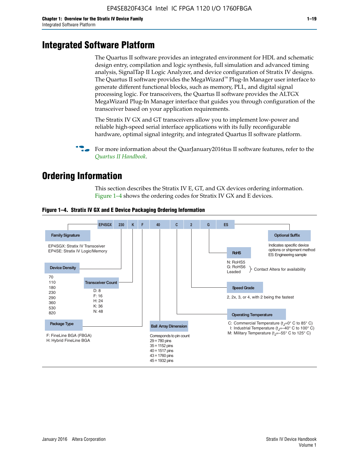# **Integrated Software Platform**

The Quartus II software provides an integrated environment for HDL and schematic design entry, compilation and logic synthesis, full simulation and advanced timing analysis, SignalTap II Logic Analyzer, and device configuration of Stratix IV designs. The Quartus II software provides the MegaWizard<sup> $M$ </sup> Plug-In Manager user interface to generate different functional blocks, such as memory, PLL, and digital signal processing logic. For transceivers, the Quartus II software provides the ALTGX MegaWizard Plug-In Manager interface that guides you through configuration of the transceiver based on your application requirements.

The Stratix IV GX and GT transceivers allow you to implement low-power and reliable high-speed serial interface applications with its fully reconfigurable hardware, optimal signal integrity, and integrated Quartus II software platform.

For more information about the QuarJanuary2016tus II software features, refer to the *[Quartus II Handbook](http://www.altera.com/literature/lit-qts.jsp)*.

# **Ordering Information**

This section describes the Stratix IV E, GT, and GX devices ordering information. Figure 1–4 shows the ordering codes for Stratix IV GX and E devices.



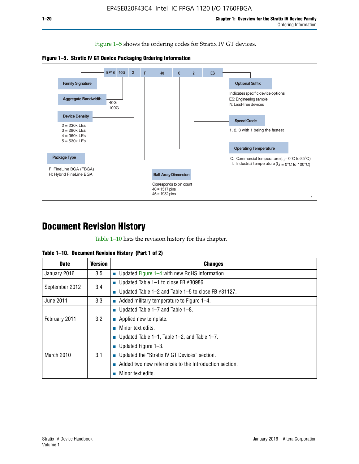Figure 1–5 shows the ordering codes for Stratix IV GT devices.





# **Document Revision History**

Table 1–10 lists the revision history for this chapter.

|  | Table 1–10. Document Revision History (Part 1 of 2) |  |  |
|--|-----------------------------------------------------|--|--|
|--|-----------------------------------------------------|--|--|

| <b>Date</b>       | <b>Version</b> | <b>Changes</b>                                              |
|-------------------|----------------|-------------------------------------------------------------|
| January 2016      | 3.5            | ■ Updated Figure 1–4 with new RoHS information              |
| September 2012    | 3.4            | ■ Updated Table 1–1 to close FB $#30986$ .                  |
|                   |                | Updated Table $1-2$ and Table $1-5$ to close FB $\#31127$ . |
| June 2011         | 3.3            | $\blacksquare$ Added military temperature to Figure 1–4.    |
| February 2011     | 3.2            | ■ Updated Table 1–7 and Table 1–8.                          |
|                   |                | $\blacksquare$ Applied new template.                        |
|                   |                | Minor text edits.                                           |
| <b>March 2010</b> |                | <b>Updated Table 1–1, Table 1–2, and Table 1–7.</b>         |
|                   | 3.1            | <b>U</b> Updated Figure 1–3.                                |
|                   |                | ■ Updated the "Stratix IV GT Devices" section.              |
|                   |                | Added two new references to the Introduction section.       |
|                   |                | Minor text edits.                                           |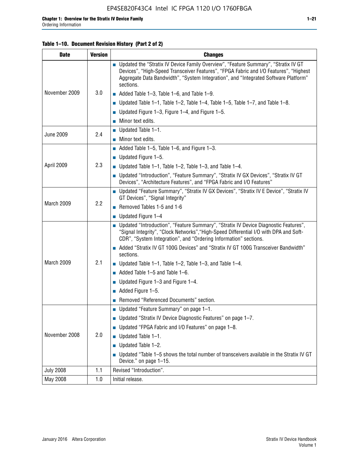#### **Table 1–10. Document Revision History (Part 2 of 2)**

| <b>Date</b>      | <b>Version</b> | <b>Changes</b>                                                                                                                                                                                                                                                                    |  |
|------------------|----------------|-----------------------------------------------------------------------------------------------------------------------------------------------------------------------------------------------------------------------------------------------------------------------------------|--|
|                  | 3.0            | ■ Updated the "Stratix IV Device Family Overview", "Feature Summary", "Stratix IV GT<br>Devices", "High-Speed Transceiver Features", "FPGA Fabric and I/O Features", "Highest<br>Aggregate Data Bandwidth", "System Integration", and "Integrated Software Platform"<br>sections. |  |
| November 2009    |                | $\blacksquare$ Added Table 1-3, Table 1-6, and Table 1-9.                                                                                                                                                                                                                         |  |
|                  |                | $\blacksquare$ Updated Table 1-1, Table 1-2, Table 1-4, Table 1-5, Table 1-7, and Table 1-8.                                                                                                                                                                                      |  |
|                  |                | ■ Updated Figure 1–3, Figure 1–4, and Figure 1–5.                                                                                                                                                                                                                                 |  |
|                  |                | $\blacksquare$ Minor text edits.                                                                                                                                                                                                                                                  |  |
|                  | 2.4            | $\blacksquare$ Updated Table 1-1.                                                                                                                                                                                                                                                 |  |
| <b>June 2009</b> |                | $\blacksquare$ Minor text edits.                                                                                                                                                                                                                                                  |  |
|                  |                | $\blacksquare$ Added Table 1-5, Table 1-6, and Figure 1-3.                                                                                                                                                                                                                        |  |
|                  |                | $\blacksquare$ Updated Figure 1-5.                                                                                                                                                                                                                                                |  |
| April 2009       | 2.3            | ■ Updated Table 1–1, Table 1–2, Table 1–3, and Table 1–4.                                                                                                                                                                                                                         |  |
|                  |                | ■ Updated "Introduction", "Feature Summary", "Stratix IV GX Devices", "Stratix IV GT<br>Devices", "Architecture Features", and "FPGA Fabric and I/O Features"                                                                                                                     |  |
|                  | 2.2            | ■ Updated "Feature Summary", "Stratix IV GX Devices", "Stratix IV E Device", "Stratix IV<br>GT Devices", "Signal Integrity"                                                                                                                                                       |  |
| March 2009       |                | Removed Tables 1-5 and 1-6                                                                                                                                                                                                                                                        |  |
|                  |                | $\blacksquare$ Updated Figure 1-4                                                                                                                                                                                                                                                 |  |
|                  |                | ■ Updated "Introduction", "Feature Summary", "Stratix IV Device Diagnostic Features",<br>"Signal Integrity", "Clock Networks", "High-Speed Differential I/O with DPA and Soft-<br>CDR", "System Integration", and "Ordering Information" sections.                                |  |
|                  |                | ■ Added "Stratix IV GT 100G Devices" and "Stratix IV GT 100G Transceiver Bandwidth"<br>sections.                                                                                                                                                                                  |  |
| March 2009       | 2.1            | ■ Updated Table 1–1, Table 1–2, Table 1–3, and Table 1–4.                                                                                                                                                                                                                         |  |
|                  |                | $\blacksquare$ Added Table 1–5 and Table 1–6.                                                                                                                                                                                                                                     |  |
|                  |                | ■ Updated Figure $1-3$ and Figure $1-4$ .                                                                                                                                                                                                                                         |  |
|                  |                | $\blacksquare$ Added Figure 1-5.                                                                                                                                                                                                                                                  |  |
|                  |                | Removed "Referenced Documents" section.                                                                                                                                                                                                                                           |  |
|                  | 2.0            | Updated "Feature Summary" on page 1-1.                                                                                                                                                                                                                                            |  |
| November 2008    |                | ■ Updated "Stratix IV Device Diagnostic Features" on page $1-7$ .                                                                                                                                                                                                                 |  |
|                  |                | Updated "FPGA Fabric and I/O Features" on page 1-8.                                                                                                                                                                                                                               |  |
|                  |                | Updated Table 1-1.                                                                                                                                                                                                                                                                |  |
|                  |                | Updated Table 1-2.                                                                                                                                                                                                                                                                |  |
|                  |                | Updated "Table 1-5 shows the total number of transceivers available in the Stratix IV GT<br>Device." on page 1-15.                                                                                                                                                                |  |
| <b>July 2008</b> | 1.1            | Revised "Introduction".                                                                                                                                                                                                                                                           |  |
| May 2008         | 1.0            | Initial release.                                                                                                                                                                                                                                                                  |  |